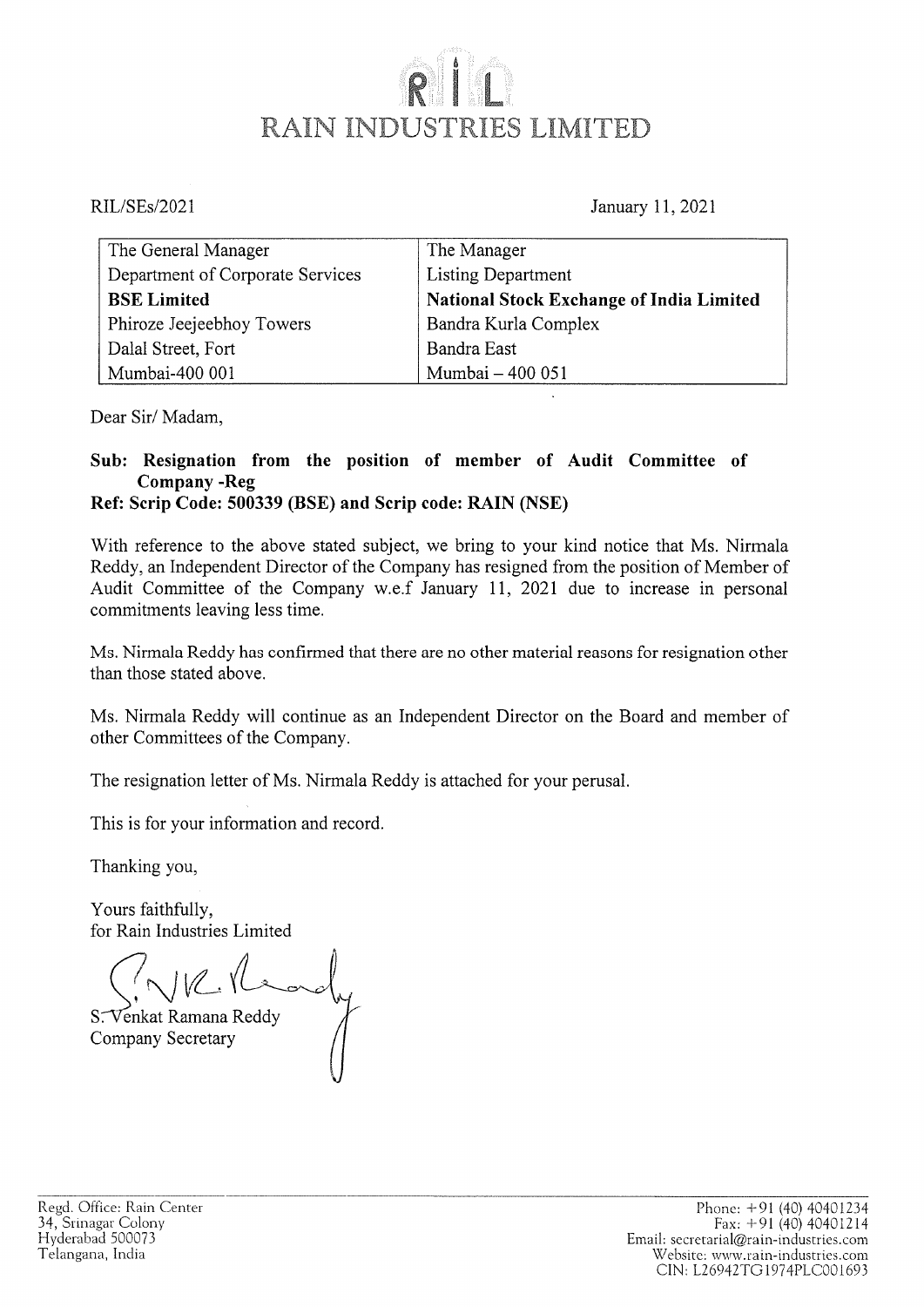## RAIN INDUSTRIES LIMITED

RIL/SEs/2021 January 11, 2021

| The General Manager              | The Manager                                     |
|----------------------------------|-------------------------------------------------|
| Department of Corporate Services | <b>Listing Department</b>                       |
| <b>BSE Limited</b>               | <b>National Stock Exchange of India Limited</b> |
| Phiroze Jeejeebhoy Towers        | Bandra Kurla Complex                            |
| Dalal Street, Fort               | Bandra East                                     |
| Mumbai-400 001                   | Mumbai - 400 051                                |

Dear Sir/ Madam,

## Sub: Resignation from the position of member of Audit Committee of Company -Reg Ref: Scrip Code: 500339 (BSE) and Scrip code: RAIN (NSE)

With reference to the above stated subject, we bring to your kind notice that Ms. Nirmala Reddy, an Independent Director of the Company has resigned from the position of Member of Audit Committee of the Company w.e.f January 11, 2021 due to increase in personal commitments leaving less time.

Ms. Nirmala Reddy has confirmed that there are no other material reasons for resignation other than those stated above.

Ms. Nirmala Reddy will continue as an Independent Director on the Board and member of other Committees of the Company.

The resignation letter of Ms. Nirmala Reddy is attached for your perusal.

This is for your information and record.

Thanking you,

Yours faithfully, for Rain Industries Limited

 $\overline{\phantom{a}}$ 

Venkat Ramana Reddy Company Secretary